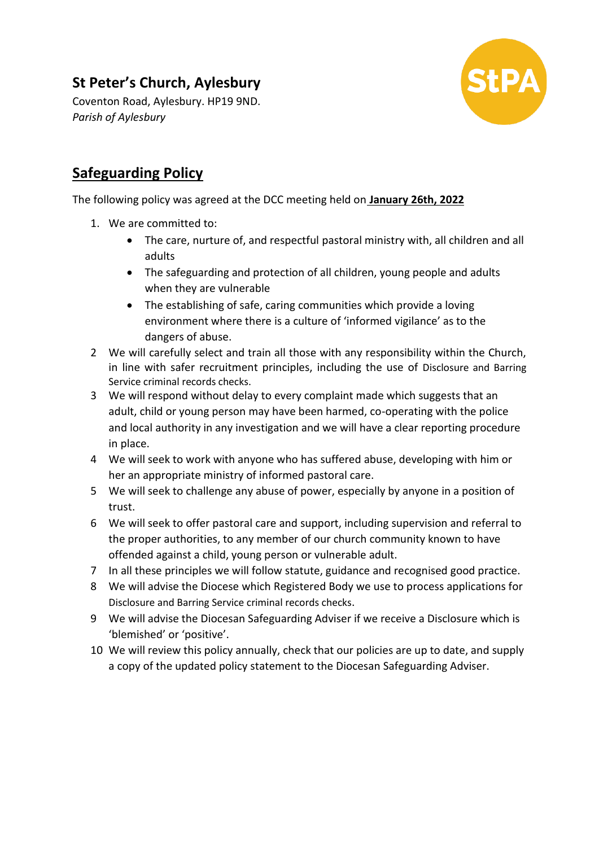## **St Peter's Church, Aylesbury**

Coventon Road, Aylesbury. HP19 9ND. *Parish of Aylesbury*



## **Safeguarding Policy**

## The following policy was agreed at the DCC meeting held on **January 26th, 2022**

- 1. We are committed to:
	- The care, nurture of, and respectful pastoral ministry with, all children and all adults
	- The safeguarding and protection of all children, young people and adults when they are vulnerable
	- The establishing of safe, caring communities which provide a loving environment where there is a culture of 'informed vigilance' as to the dangers of abuse.
- 2 We will carefully select and train all those with any responsibility within the Church, in line with safer recruitment principles, including the use of Disclosure and Barring Service criminal records checks.
- 3 We will respond without delay to every complaint made which suggests that an adult, child or young person may have been harmed, co-operating with the police and local authority in any investigation and we will have a clear reporting procedure in place.
- 4 We will seek to work with anyone who has suffered abuse, developing with him or her an appropriate ministry of informed pastoral care.
- 5 We will seek to challenge any abuse of power, especially by anyone in a position of trust.
- 6 We will seek to offer pastoral care and support, including supervision and referral to the proper authorities, to any member of our church community known to have offended against a child, young person or vulnerable adult.
- 7 In all these principles we will follow statute, guidance and recognised good practice.
- 8 We will advise the Diocese which Registered Body we use to process applications for Disclosure and Barring Service criminal records checks.
- 9 We will advise the Diocesan Safeguarding Adviser if we receive a Disclosure which is 'blemished' or 'positive'.
- 10 We will review this policy annually, check that our policies are up to date, and supply a copy of the updated policy statement to the Diocesan Safeguarding Adviser.